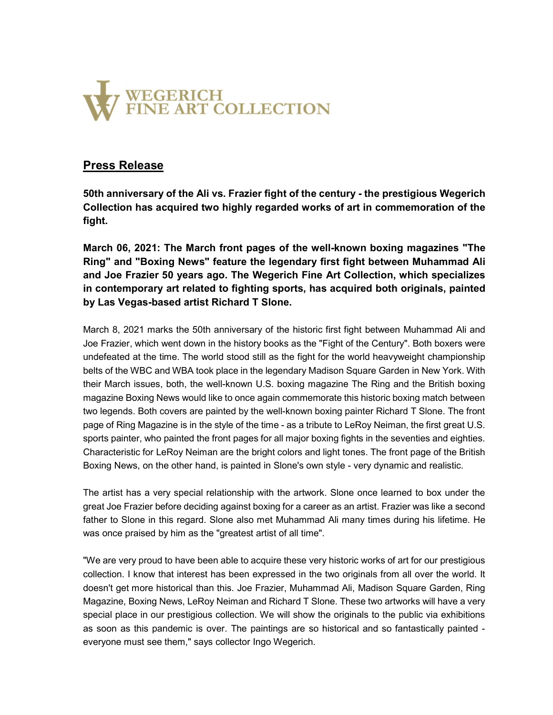

## Press Release

50th anniversary of the Ali vs. Frazier fight of the century - the prestigious Wegerich Collection has acquired two highly regarded works of art in commemoration of the fight.

March 06, 2021: The March front pages of the well-known boxing magazines "The Ring" and "Boxing News" feature the legendary first fight between Muhammad Ali and Joe Frazier 50 years ago. The Wegerich Fine Art Collection, which specializes in contemporary art related to fighting sports, has acquired both originals, painted by Las Vegas-based artist Richard T Slone.

March 8, 2021 marks the 50th anniversary of the historic first fight between Muhammad Ali and Joe Frazier, which went down in the history books as the "Fight of the Century". Both boxers were undefeated at the time. The world stood still as the fight for the world heavyweight championship belts of the WBC and WBA took place in the legendary Madison Square Garden in New York. With their March issues, both, the well-known U.S. boxing magazine The Ring and the British boxing magazine Boxing News would like to once again commemorate this historic boxing match between two legends. Both covers are painted by the well-known boxing painter Richard T Slone. The front page of Ring Magazine is in the style of the time - as a tribute to LeRoy Neiman, the first great U.S. sports painter, who painted the front pages for all major boxing fights in the seventies and eighties. Characteristic for LeRoy Neiman are the bright colors and light tones. The front page of the British Boxing News, on the other hand, is painted in Slone's own style - very dynamic and realistic.

The artist has a very special relationship with the artwork. Slone once learned to box under the great Joe Frazier before deciding against boxing for a career as an artist. Frazier was like a second father to Slone in this regard. Slone also met Muhammad Ali many times during his lifetime. He was once praised by him as the "greatest artist of all time".

"We are very proud to have been able to acquire these very historic works of art for our prestigious collection. I know that interest has been expressed in the two originals from all over the world. It doesn't get more historical than this. Joe Frazier, Muhammad Ali, Madison Square Garden, Ring Magazine, Boxing News, LeRoy Neiman and Richard T Slone. These two artworks will have a very special place in our prestigious collection. We will show the originals to the public via exhibitions as soon as this pandemic is over. The paintings are so historical and so fantastically painted everyone must see them," says collector Ingo Wegerich.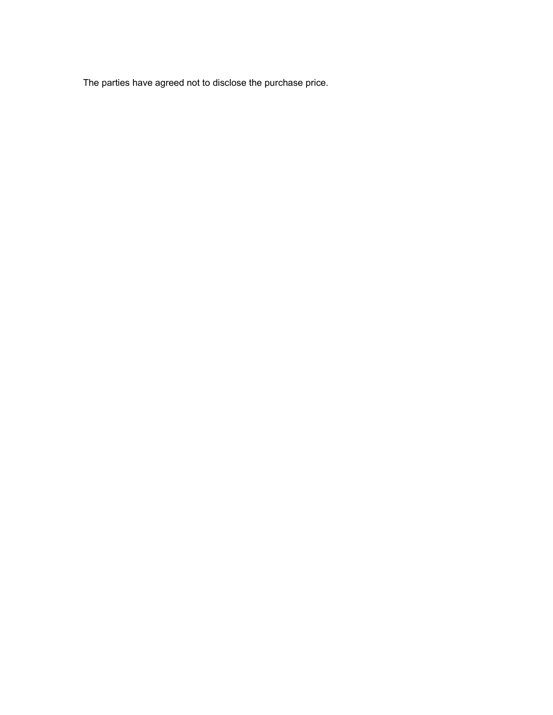The parties have agreed not to disclose the purchase price.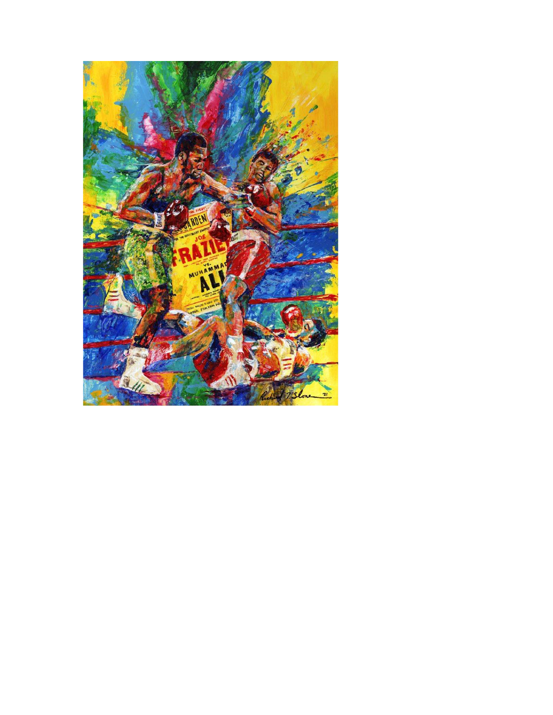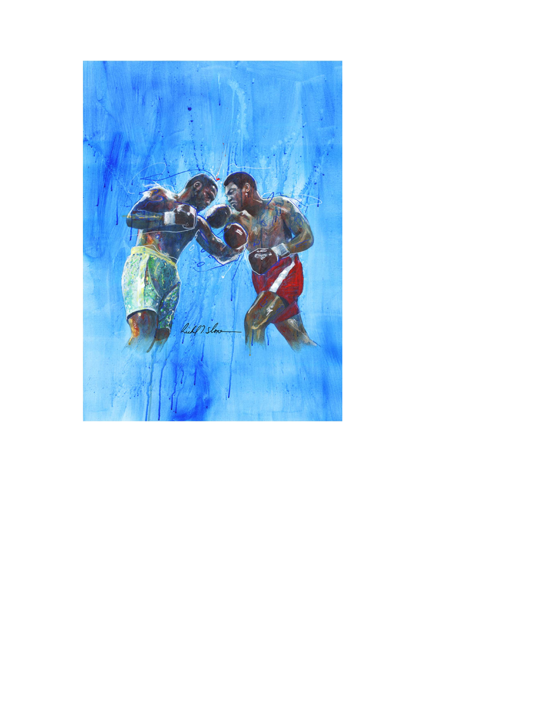